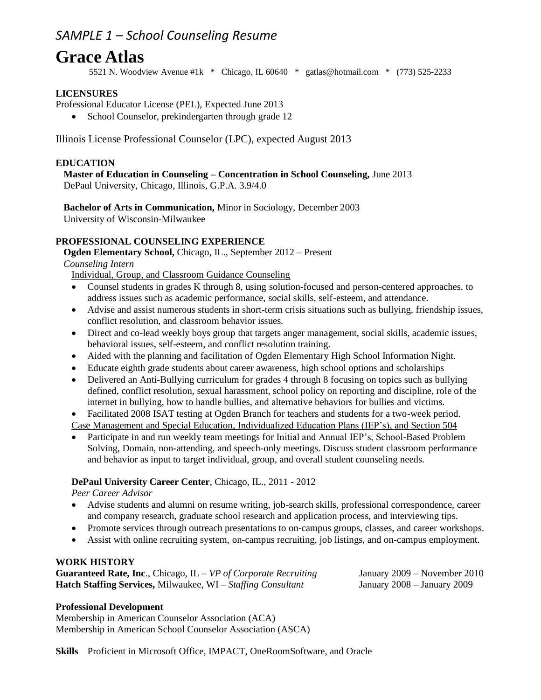## *SAMPLE 1 – School Counseling Resume*

# **Grace Atlas**

5521 N. Woodview Avenue #1k \* Chicago, IL 60640 \* gatlas@hotmail.com \* (773) 525-2233

### **LICENSURES**

Professional Educator License (PEL), Expected June 2013

• School Counselor, prekindergarten through grade 12

Illinois License Professional Counselor (LPC), expected August 2013

#### **EDUCATION**

**Master of Education in Counseling – Concentration in School Counseling,** June 2013 DePaul University, Chicago, Illinois, G.P.A. 3.9/4.0

**Bachelor of Arts in Communication,** Minor in Sociology, December 2003 University of Wisconsin-Milwaukee

#### **PROFESSIONAL COUNSELING EXPERIENCE**

**Ogden Elementary School,** Chicago, IL., September 2012 – Present

*Counseling Intern*

Individual, Group, and Classroom Guidance Counseling

- Counsel students in grades K through 8, using solution-focused and person-centered approaches, to address issues such as academic performance, social skills, self-esteem, and attendance.
- Advise and assist numerous students in short-term crisis situations such as bullying, friendship issues, conflict resolution, and classroom behavior issues.
- Direct and co-lead weekly boys group that targets anger management, social skills, academic issues, behavioral issues, self-esteem, and conflict resolution training.
- Aided with the planning and facilitation of Ogden Elementary High School Information Night.
- Educate eighth grade students about career awareness, high school options and scholarships
- Delivered an Anti-Bullying curriculum for grades 4 through 8 focusing on topics such as bullying defined, conflict resolution, sexual harassment, school policy on reporting and discipline, role of the internet in bullying, how to handle bullies, and alternative behaviors for bullies and victims.
- Facilitated 2008 ISAT testing at Ogden Branch for teachers and students for a two-week period. Case Management and Special Education, Individualized Education Plans (IEP's), and Section 504
- Participate in and run weekly team meetings for Initial and Annual IEP's, School-Based Problem Solving, Domain, non-attending, and speech-only meetings. Discuss student classroom performance and behavior as input to target individual, group, and overall student counseling needs.

#### **DePaul University Career Center**, Chicago, IL., 2011 - 2012

*Peer Career Advisor*

- Advise students and alumni on resume writing, job-search skills, professional correspondence, career and company research, graduate school research and application process, and interviewing tips.
- Promote services through outreach presentations to on-campus groups, classes, and career workshops.
- Assist with online recruiting system, on-campus recruiting, job listings, and on-campus employment.

#### **WORK HISTORY**

**Guaranteed Rate, Inc**., Chicago, IL – *VP of Corporate Recruiting* January 2009 – November 2010 **Hatch Staffing Services,** Milwaukee, WI – *Staffing Consultant* January 2008 – January 2009

#### **Professional Development**

Membership in American Counselor Association (ACA) Membership in American School Counselor Association (ASCA)

**Skills** Proficient in Microsoft Office, IMPACT, OneRoomSoftware, and Oracle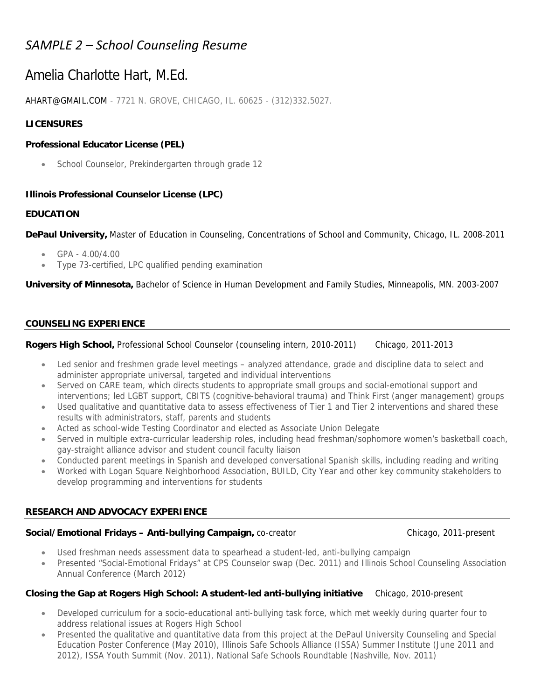## *SAMPLE 2 – School Counseling Resume*

## Amelia Charlotte Hart, M.Ed.

AHART@GMAIL.COM - 7721 N. GROVE, CHICAGO, IL. 60625 - (312)332.5027.

#### **LICENSURES**

#### **Professional Educator License (PEL)**

School Counselor, Prekindergarten through grade 12

#### **Illinois Professional Counselor License (LPC)**

#### **EDUCATION**

**DePaul University,** Master of Education in Counseling, Concentrations of School and Community, Chicago, IL. 2008-2011

- $\bullet$  GPA 4.00/4.00
- Type 73-certified, LPC qualified pending examination

**University of Minnesota,** Bachelor of Science in Human Development and Family Studies, Minneapolis, MN. 2003-2007

#### **COUNSELING EXPERIENCE**

#### **Rogers High School,** Professional School Counselor (counseling intern, 2010-2011) Chicago, 2011-2013

- Led senior and freshmen grade level meetings analyzed attendance, grade and discipline data to select and administer appropriate universal, targeted and individual interventions
- Served on CARE team, which directs students to appropriate small groups and social-emotional support and interventions; led LGBT support, CBITS (cognitive-behavioral trauma) and Think First (anger management) groups
- Used qualitative and quantitative data to assess effectiveness of Tier 1 and Tier 2 interventions and shared these results with administrators, staff, parents and students
- Acted as school-wide Testing Coordinator and elected as Associate Union Delegate
- Served in multiple extra-curricular leadership roles, including head freshman/sophomore women's basketball coach, gay-straight alliance advisor and student council faculty liaison
- Conducted parent meetings in Spanish and developed conversational Spanish skills, including reading and writing
- Worked with Logan Square Neighborhood Association, BUILD, City Year and other key community stakeholders to develop programming and interventions for students

#### **RESEARCH AND ADVOCACY EXPERIENCE**

#### **Social/Emotional Fridays - Anti-bullying Campaign, co-creator Chicago, 2011-present Chicago, 2011-present**

- Used freshman needs assessment data to spearhead a student-led, anti-bullying campaign
- Presented "Social-Emotional Fridays" at CPS Counselor swap (Dec. 2011) and Illinois School Counseling Association Annual Conference (March 2012)

#### **Closing the Gap at Rogers High School: A student-led anti-bullying initiative** Chicago, 2010-present

- Developed curriculum for a socio-educational anti-bullying task force, which met weekly during quarter four to address relational issues at Rogers High School
- Presented the qualitative and quantitative data from this project at the DePaul University Counseling and Special Education Poster Conference (May 2010), Illinois Safe Schools Alliance (ISSA) Summer Institute (June 2011 and 2012), ISSA Youth Summit (Nov. 2011), National Safe Schools Roundtable (Nashville, Nov. 2011)